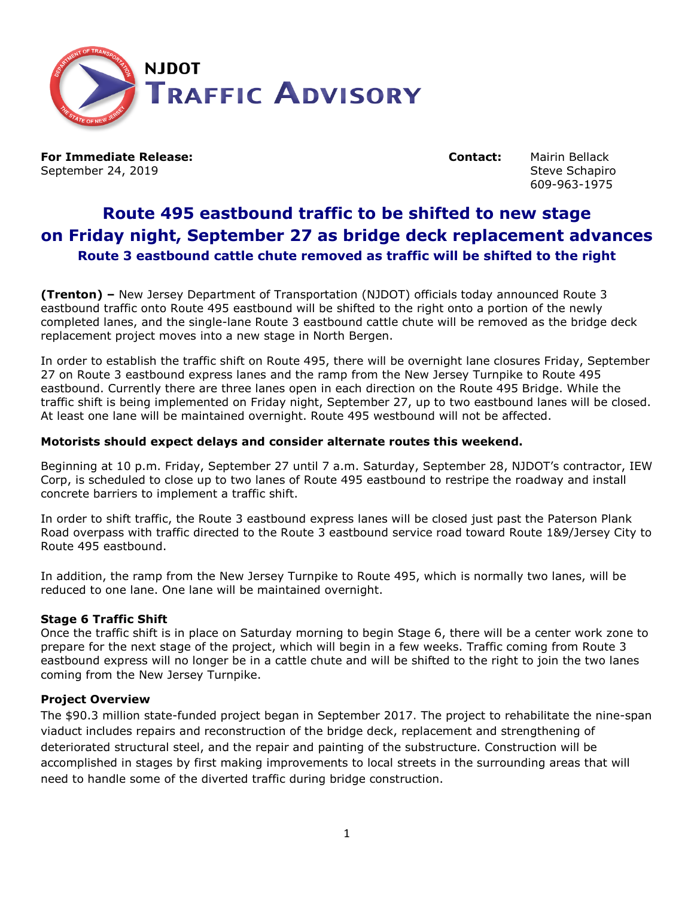

**For Immediate Release: Contact:** Mairin Bellack September 24, 2019 **September 24, 2019** September 24, 2019

609-963-1975

# **Route 495 eastbound traffic to be shifted to new stage on Friday night, September 27 as bridge deck replacement advances Route 3 eastbound cattle chute removed as traffic will be shifted to the right**

**(Trenton) –** New Jersey Department of Transportation (NJDOT) officials today announced Route 3 eastbound traffic onto Route 495 eastbound will be shifted to the right onto a portion of the newly completed lanes, and the single-lane Route 3 eastbound cattle chute will be removed as the bridge deck replacement project moves into a new stage in North Bergen.

In order to establish the traffic shift on Route 495, there will be overnight lane closures Friday, September 27 on Route 3 eastbound express lanes and the ramp from the New Jersey Turnpike to Route 495 eastbound. Currently there are three lanes open in each direction on the Route 495 Bridge. While the traffic shift is being implemented on Friday night, September 27, up to two eastbound lanes will be closed. At least one lane will be maintained overnight. Route 495 westbound will not be affected.

## **Motorists should expect delays and consider alternate routes this weekend.**

Beginning at 10 p.m. Friday, September 27 until 7 a.m. Saturday, September 28, NJDOT's contractor, IEW Corp, is scheduled to close up to two lanes of Route 495 eastbound to restripe the roadway and install concrete barriers to implement a traffic shift.

In order to shift traffic, the Route 3 eastbound express lanes will be closed just past the Paterson Plank Road overpass with traffic directed to the Route 3 eastbound service road toward Route 1&9/Jersey City to Route 495 eastbound.

In addition, the ramp from the New Jersey Turnpike to Route 495, which is normally two lanes, will be reduced to one lane. One lane will be maintained overnight.

# **Stage 6 Traffic Shift**

Once the traffic shift is in place on Saturday morning to begin Stage 6, there will be a center work zone to prepare for the next stage of the project, which will begin in a few weeks. Traffic coming from Route 3 eastbound express will no longer be in a cattle chute and will be shifted to the right to join the two lanes coming from the New Jersey Turnpike.

#### **Project Overview**

The \$90.3 million state-funded project began in September 2017. The project to rehabilitate the nine-span viaduct includes repairs and reconstruction of the bridge deck, replacement and strengthening of deteriorated structural steel, and the repair and painting of the substructure. Construction will be accomplished in stages by first making improvements to local streets in the surrounding areas that will need to handle some of the diverted traffic during bridge construction.